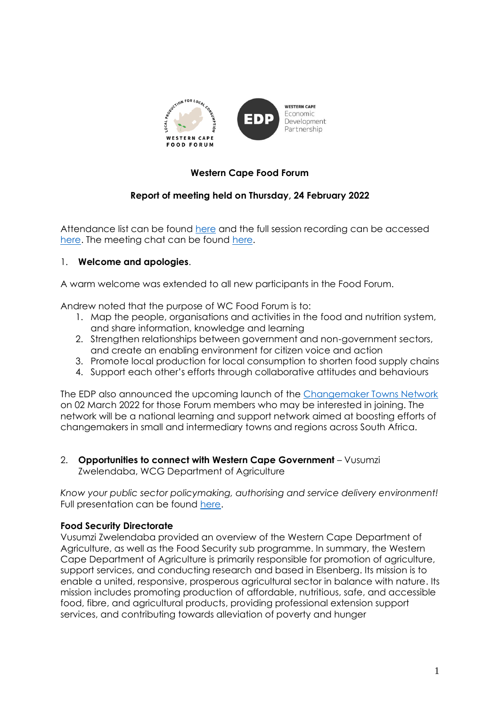

## **Western Cape Food Forum**

### **Report of meeting held on Thursday, 24 February 2022**

Attendance list can be found [here](https://drive.google.com/file/d/1ECWfWnE3DrUGrQrrrviQnU1zepxFO5o4/view?usp=sharing) and the full session recording can be accessed [here.](https://drive.google.com/file/d/1nUpAzq3SVgc64cRFZff8mC9Fvh4jwuC7/view?usp=sharing) The meeting chat can be found [here.](https://drive.google.com/file/d/16Sy7WoRJ_cPVeOcsK-MA9nStezFgdbUc/view?usp=sharing)

#### 1. **Welcome and apologies**.

A warm welcome was extended to all new participants in the Food Forum.

Andrew noted that the purpose of WC Food Forum is to:

- 1. Map the people, organisations and activities in the food and nutrition system, and share information, knowledge and learning
- 2. Strengthen relationships between government and non-government sectors, and create an enabling environment for citizen voice and action
- 3. Promote local production for local consumption to shorten food supply chains
- 4. Support each other's efforts through collaborative attitudes and behaviours

The EDP also announced the upcoming launch of the [Changemaker Towns Network](https://wcedp.co.za/launch-of-the-changemaker-towns-network/) on 02 March 2022 for those Forum members who may be interested in joining. The network will be a national learning and support network aimed at boosting efforts of changemakers in small and intermediary towns and regions across South Africa.

2. **Opportunities to connect with Western Cape Government** - Vusumzi Zwelendaba, WCG Department of Agriculture

*Know your public sector policymaking, authorising and service delivery environment!* Full presentation can be found [here.](https://drive.google.com/file/d/1ZuuXEJjywq3GbOk4mM5oYGchlvs7rfF4/view?usp=sharing)

#### **Food Security Directorate**

Vusumzi Zwelendaba provided an overview of the Western Cape Department of Agriculture, as well as the Food Security sub programme. In summary, the Western Cape Department of Agriculture is primarily responsible for promotion of agriculture, support services, and conducting research and based in Elsenberg. Its mission is to enable a united, responsive, prosperous agricultural sector in balance with nature. Its mission includes promoting production of affordable, nutritious, safe, and accessible food, fibre, and agricultural products, providing professional extension support services, and contributing towards alleviation of poverty and hunger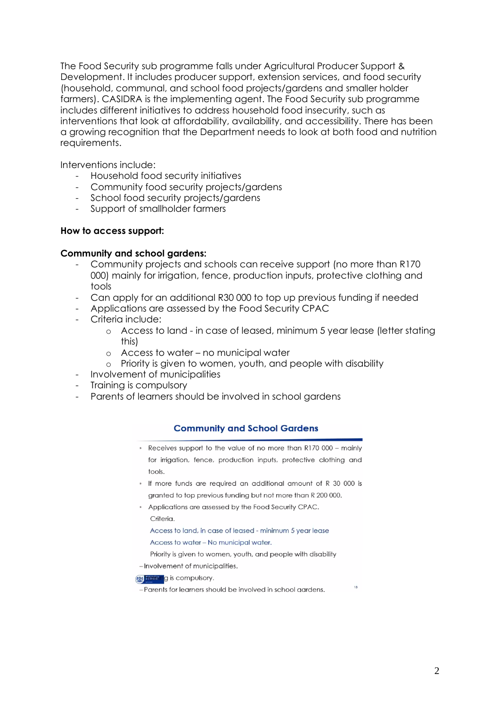The Food Security sub programme falls under Agricultural Producer Support & Development. It includes producer support, extension services, and food security (household, communal, and school food projects/gardens and smaller holder farmers). CASIDRA is the implementing agent. The Food Security sub programme includes different initiatives to address household food insecurity, such as interventions that look at affordability, availability, and accessibility. There has been a growing recognition that the Department needs to look at both food and nutrition requirements.

Interventions include:

- Household food security initiatives
- Community food security projects/gardens
- School food security projects/gardens
- Support of smallholder farmers

#### **How to access support:**

#### **Community and school gardens:**

- Community projects and schools can receive support (no more than R170 000) mainly for irrigation, fence, production inputs, protective clothing and tools
- Can apply for an additional R30 000 to top up previous funding if needed
- Applications are assessed by the Food Security CPAC
- Criteria include:
	- o Access to land in case of leased, minimum 5 year lease (letter stating this)
	- o Access to water no municipal water
	- o Priority is given to women, youth, and people with disability
- Involvement of municipalities
- Training is compulsory
- Parents of learners should be involved in school gardens

### **Community and School Gardens**

- Receives support to the value of no more than R170 000 mainly for irrigation, fence, production inputs, protective clothing and tools
- If more funds are required an additional amount of R 30 000 is granted to top previous funding but not more than R 200 000.
- Applications are assessed by the Food Security CPAC. Criteria.

Access to land, in case of leased - minimum 5 year lease

Access to water - No municipal water.

Priority is given to women, youth, and people with disability

-Involvement of municipalities.

**AN ESTED IS COMPUISORY.** 

-Parents for learners should be involved in school gardens.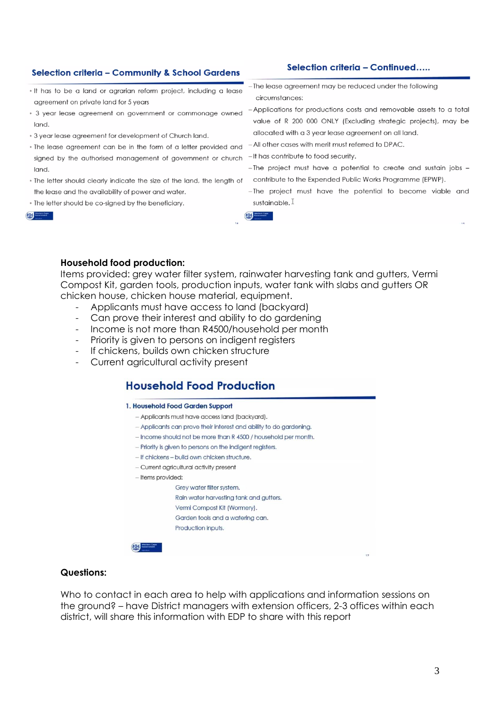#### Selection criteria - Community & School Gardens

- . It has to be a land or agrarian reform project, including a lease agreement on private land for 5 years
- 3 year lease agreement on government or commonage owned land.
- . 3 year lease agreement for development of Church land.
- . The lease agreement can be in the form of a letter provided and signed by the authorised management of government or church land.
- . The letter should clearly indicate the size of the land, the length of the lease and the availability of power and water.
- The letter should be co-signed by the beneficiary.
- -The lease agreement may be reduced under the following circumstances:
- -Applications for productions costs and removable assets to a total value of R 200 000 ONLY (Excluding strategic projects), may be allocated with a 3 year lease agreement on all land.
- -All other cases with merit must referred to DPAC.
- -It has contribute to food security.
- The project must have a potential to create and sustain jobs contribute to the Expended Public Works Programme (EPWP).
- -The project must have the potential to become viable and sustainable. I

#### **Household food production:**

Items provided: grey water filter system, rainwater harvesting tank and gutters, Vermi Compost Kit, garden tools, production inputs, water tank with slabs and gutters OR chicken house, chicken house material, equipment.

- Applicants must have access to land (backyard)
- Can prove their interest and ability to do gardening
- Income is not more than R4500/household per month
- Priority is given to persons on indigent registers
- If chickens, builds own chicken structure
- Current agricultural activity present

## **Household Food Production**

#### 1. Household Food Garden Support

- Applicants must have access land (backyard).
- Applicants can prove their interest and ability to do gardening.
- Income should not be more than R 4500 / household per month.
- Priority is given to persons on the indigent registers.
- If chickens build own chicken structure.
- Current agricultural activity present
- Items provided:

Grey water filter system. Rain water harvesting tank and gutters. Vermi Compost Kit (Wormery). Garden tools and a watering can.

#### **Questions:**

Who to contact in each area to help with applications and information sessions on the ground? – have District managers with extension officers, 2-3 offices within each district, will share this information with EDP to share with this report

## Western Cape

# Selection criteria - Continued.....



Production inputs.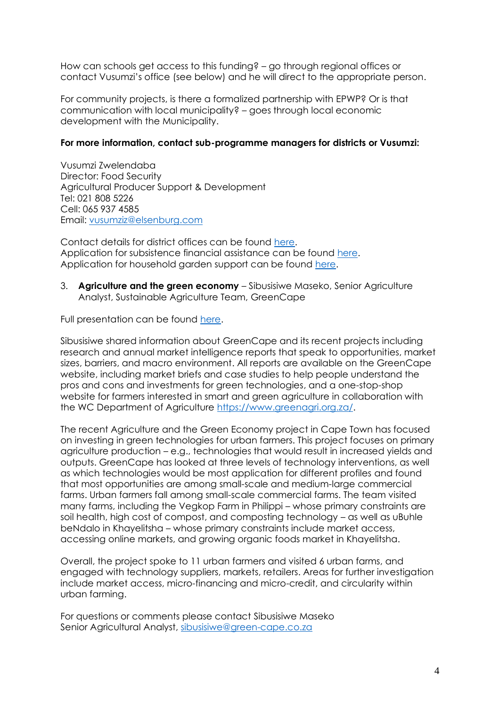How can schools get access to this funding? – go through regional offices or contact Vusumzi's office (see below) and he will direct to the appropriate person.

For community projects, is there a formalized partnership with EPWP? Or is that communication with local municipality? – goes through local economic development with the Municipality.

#### **For more information, contact sub-programme managers for districts or Vusumzi:**

Vusumzi Zwelendaba Director: Food Security Agricultural Producer Support & Development Tel: 021 808 5226 Cell: 065 937 4585 Email: [vusumziz@elsenburg.com](mailto:vusumziz@elsenburg.com)

Contact details for district offices can be found [here.](https://drive.google.com/file/d/1CDgn8F8o_zwRAS-l_9UvqJW-8LaUY0j_/view?usp=sharing) Application for subsistence financial assistance can be found [here.](https://drive.google.com/file/d/1Vho8zl0OeeFRxHy9CdPyXr1aLKHBNd3d/view?usp=sharing) Application for household garden support can be found [here.](https://drive.google.com/file/d/1bHwRQbpnE8pHZ4heYDt2vohxVWM3zZzX/view?usp=sharing)

3. **Agriculture and the green economy** – Sibusisiwe Maseko, Senior Agriculture Analyst, Sustainable Agriculture Team, GreenCape

Full presentation can be found [here.](https://drive.google.com/file/d/1BoBSyVkHf9tt0jaspyz99wFKtU0uS_UP/view?usp=sharing)

Sibusisiwe shared information about GreenCape and its recent projects including research and annual market intelligence reports that speak to opportunities, market sizes, barriers, and macro environment. All reports are available on the GreenCape website, including market briefs and case studies to help people understand the pros and cons and investments for green technologies, and a one-stop-shop website for farmers interested in smart and green agriculture in collaboration with the WC Department of Agriculture [https://www.greenagri.org.za/.](https://www.greenagri.org.za/)

The recent Agriculture and the Green Economy project in Cape Town has focused on investing in green technologies for urban farmers. This project focuses on primary agriculture production – e.g., technologies that would result in increased yields and outputs. GreenCape has looked at three levels of technology interventions, as well as which technologies would be most application for different profiles and found that most opportunities are among small-scale and medium-large commercial farms. Urban farmers fall among small-scale commercial farms. The team visited many farms, including the Vegkop Farm in Philippi – whose primary constraints are soil health, high cost of compost, and composting technology – as well as uBuhle beNdalo in Khayelitsha – whose primary constraints include market access, accessing online markets, and growing organic foods market in Khayelitsha.

Overall, the project spoke to 11 urban farmers and visited 6 urban farms, and engaged with technology suppliers, markets, retailers. Areas for further investigation include market access, micro-financing and micro-credit, and circularity within urban farming.

For questions or comments please contact Sibusisiwe Maseko Senior Agricultural Analyst, [sibusisiwe@green-cape.co.za](mailto:sibusisiwe@green-cape.co.za)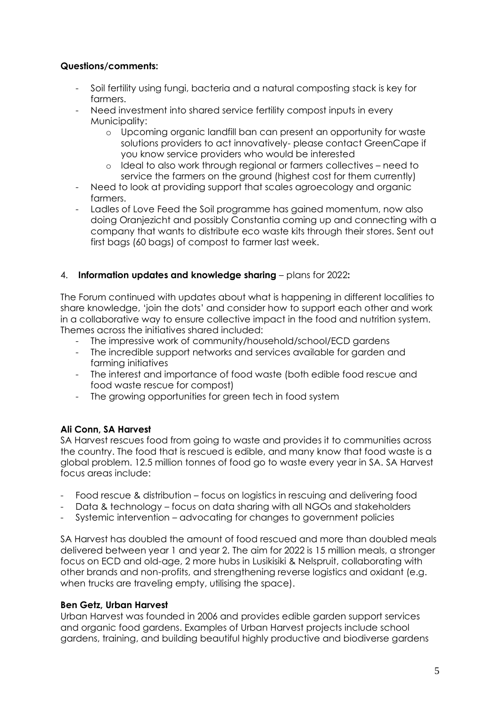### **Questions/comments:**

- Soil fertility using fungi, bacteria and a natural composting stack is key for farmers.
- Need investment into shared service fertility compost inputs in every Municipality:
	- o Upcoming organic landfill ban can present an opportunity for waste solutions providers to act innovatively- please contact GreenCape if you know service providers who would be interested
	- o Ideal to also work through regional or farmers collectives need to service the farmers on the ground (highest cost for them currently)
- Need to look at providing support that scales agroecology and organic farmers.
- Ladles of Love Feed the Soil programme has gained momentum, now also doing Oranjezicht and possibly Constantia coming up and connecting with a company that wants to distribute eco waste kits through their stores. Sent out first bags (60 bags) of compost to farmer last week.

### 4. **Information updates and knowledge sharing** – plans for 2022**:**

The Forum continued with updates about what is happening in different localities to share knowledge, 'join the dots' and consider how to support each other and work in a collaborative way to ensure collective impact in the food and nutrition system. Themes across the initiatives shared included:

- The impressive work of community/household/school/ECD gardens
- The incredible support networks and services available for garden and farming initiatives
- The interest and importance of food waste (both edible food rescue and food waste rescue for compost)
- The growing opportunities for green tech in food system

### **Ali Conn, SA Harvest**

SA Harvest rescues food from going to waste and provides it to communities across the country. The food that is rescued is edible, and many know that food waste is a global problem. 12.5 million tonnes of food go to waste every year in SA. SA Harvest focus areas include:

- Food rescue & distribution focus on logistics in rescuing and delivering food
- Data & technology focus on data sharing with all NGOs and stakeholders
- Systemic intervention advocating for changes to government policies

SA Harvest has doubled the amount of food rescued and more than doubled meals delivered between year 1 and year 2. The aim for 2022 is 15 million meals, a stronger focus on ECD and old-age, 2 more hubs in Lusikisiki & Nelspruit, collaborating with other brands and non-profits, and strengthening reverse logistics and oxidant (e.g. when trucks are traveling empty, utilising the space).

### **Ben Getz, Urban Harvest**

Urban Harvest was founded in 2006 and provides edible garden support services and organic food gardens. Examples of Urban Harvest projects include school gardens, training, and building beautiful highly productive and biodiverse gardens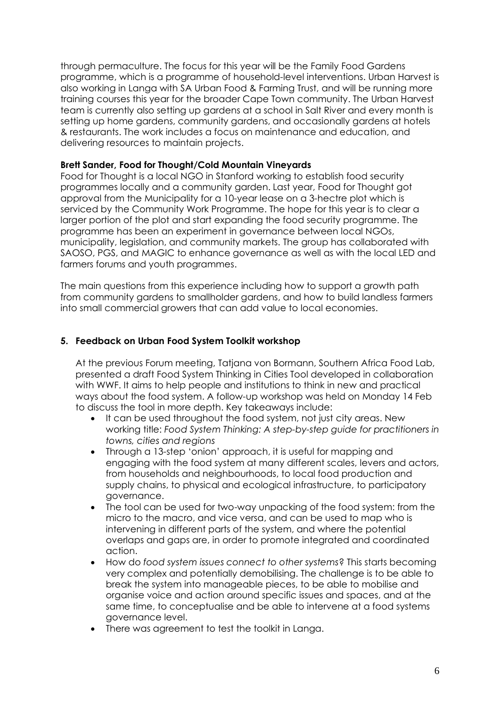through permaculture. The focus for this year will be the Family Food Gardens programme, which is a programme of household-level interventions. Urban Harvest is also working in Langa with SA Urban Food & Farming Trust, and will be running more training courses this year for the broader Cape Town community. The Urban Harvest team is currently also setting up gardens at a school in Salt River and every month is setting up home gardens, community gardens, and occasionally gardens at hotels & restaurants. The work includes a focus on maintenance and education, and delivering resources to maintain projects.

#### **Brett Sander, Food for Thought/Cold Mountain Vineyards**

Food for Thought is a local NGO in Stanford working to establish food security programmes locally and a community garden. Last year, Food for Thought got approval from the Municipality for a 10-year lease on a 3-hectre plot which is serviced by the Community Work Programme. The hope for this year is to clear a larger portion of the plot and start expanding the food security programme. The programme has been an experiment in governance between local NGOs, municipality, legislation, and community markets. The group has collaborated with SAOSO, PGS, and MAGIC to enhance governance as well as with the local LED and farmers forums and youth programmes.

The main questions from this experience including how to support a growth path from community gardens to smallholder gardens, and how to build landless farmers into small commercial growers that can add value to local economies.

## **5. Feedback on Urban Food System Toolkit workshop**

At the previous Forum meeting, Tatjana von Bormann, Southern Africa Food Lab, presented a draft Food System Thinking in Cities Tool developed in collaboration with WWF. It aims to help people and institutions to think in new and practical ways about the food system. A follow-up workshop was held on Monday 14 Feb to discuss the tool in more depth. Key takeaways include:

- It can be used throughout the food system, not just city areas. New working title: *Food System Thinking: A step-by-step guide for practitioners in towns, cities and regions*
- Through a 13-step 'onion' approach, it is useful for mapping and engaging with the food system at many different scales, levers and actors, from households and neighbourhoods, to local food production and supply chains, to physical and ecological infrastructure, to participatory governance.
- The tool can be used for two-way unpacking of the food system: from the micro to the macro, and vice versa, and can be used to map who is intervening in different parts of the system, and where the potential overlaps and gaps are, in order to promote integrated and coordinated action.
- How do *food system issues connect to other systems*? This starts becoming very complex and potentially demobilising. The challenge is to be able to break the system into manageable pieces, to be able to mobilise and organise voice and action around specific issues and spaces, and at the same time, to conceptualise and be able to intervene at a food systems governance level.
- There was agreement to test the toolkit in Langa.